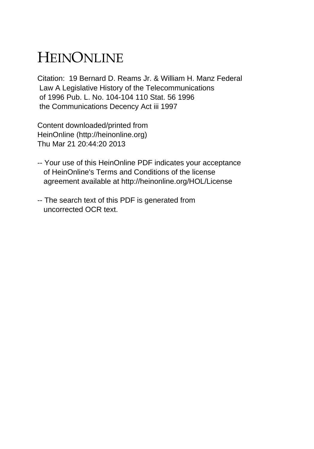## HEINONLINE

Citation: 19 Bernard D. Reams Jr. & William H. Manz Federal Law A Legislative History of the Telecommunications of 1996 Pub. L. No. 104-104 110 Stat. 56 1996 the Communications Decency Act iii 1997

Content downloaded/printed from HeinOnline (http://heinonline.org) Thu Mar 21 20:44:20 2013

- -- Your use of this HeinOnline PDF indicates your acceptance of HeinOnline's Terms and Conditions of the license agreement available at http://heinonline.org/HOL/License
- -- The search text of this PDF is generated from uncorrected OCR text.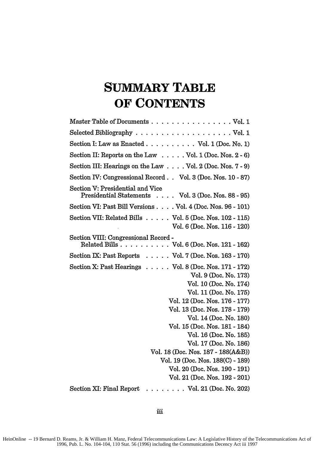## **SUMMARY TABLE OF CONTENTS**

| Master Table of Documents Vol. 1                                                        |
|-----------------------------------------------------------------------------------------|
| Selected Bibliography $\ldots \ldots \ldots \ldots \ldots \ldots \ldots$ Vol. 1         |
| Section I: Law as Enacted Vol. $1$ (Doc. No. 1)                                         |
| Section II: Reports on the Law $\dots$ . Vol. 1 (Doc. Nos. 2 - 6)                       |
| Section III: Hearings on the Law Vol. 2 (Doc. Nos. 7 - 9)                               |
| Section IV: Congressional Record Vol. 3 (Doc. Nos. 10 - 87)                             |
| Section V: Presidential and Vice<br>Presidential Statements Vol. 3 (Doc. Nos. 88 - 95)  |
| Section VI: Past Bill Versions Vol. 4 (Doc. Nos. 96 - 101)                              |
| Section VII: Related Bills Vol. 5 (Doc. Nos. 102 - 115)<br>Vol. 6 (Doc. Nos. 116 - 120) |
| Section VIII: Congressional Record -<br>Related Bills Vol. 6 (Doc. Nos. 121 - 162)      |
| Section IX: Past Reports $\ldots$ . Vol. 7 (Doc. Nos. 163 - 170)                        |
| Section X: Past Hearings $\ldots$ . Vol. 8 (Doc. Nos. 171 - 172)                        |
| Vol. 9 (Doc. No. 173)                                                                   |
| Vol. 10 (Doc. No. 174)                                                                  |
| Vol. 11 (Doc. No. 175)                                                                  |
| Vol. 12 (Doc. Nos. 176 - 177)                                                           |
| Vol. 13 (Doc. Nos. 178 - 179)                                                           |
| Vol. 14 (Doc. No. 180)                                                                  |
| Vol. 15 (Doc. Nos. 181 - 184)                                                           |
| Vol. 16 (Doc. No. 185)                                                                  |
| Vol. 17 (Doc. No. 186)                                                                  |
| Vol. 18 (Doc. Nos. 187 - 188(A&B))                                                      |
| Vol. 19 (Doc. Nos. 188(C) - 189)                                                        |
| Vol. 20 (Doc. Nos. 190 - 191)                                                           |
| Vol. 21 (Doc. Nos. 192 - 201)                                                           |
| Section XI: Final Report<br>$\ldots$ Vol. 21 (Doc. No. 202)                             |